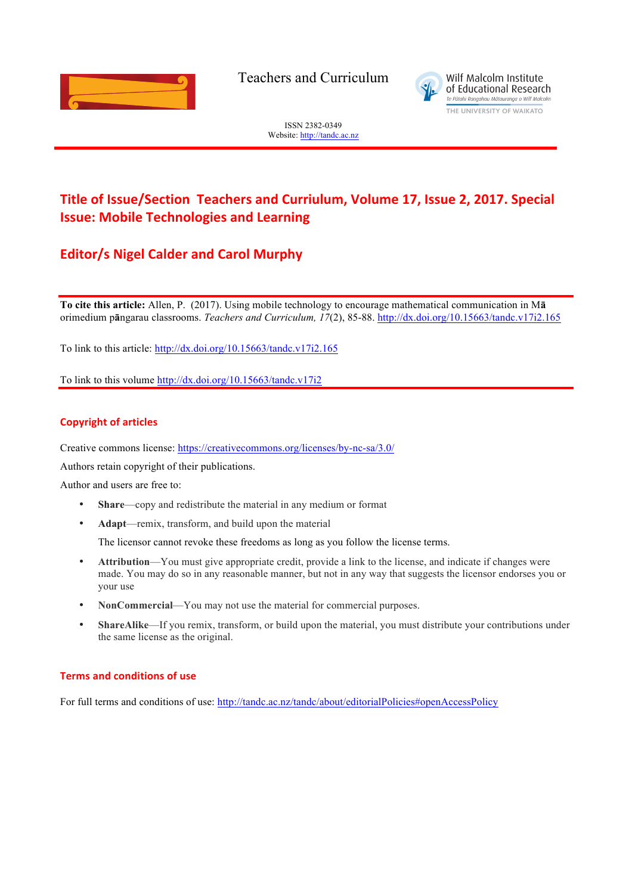

Teachers and Curriculum



ISSN 2382-0349 Website: http://tandc.ac.nz

# **Title of Issue/Section Teachers and Curriulum, Volume 17, Issue 2, 2017. Special Issue: Mobile Technologies and Learning**

## **Editor/s Nigel Calder and Carol Murphy**

**To cite this article:** Allen, P. (2017). Using mobile technology to encourage mathematical communication in M**ā** orimedium p**ā**ngarau classrooms. *Teachers and Curriculum, 17*(2), 85-88. http://dx.doi.org/10.15663/tandc.v17i2.165

To link to this article: http://dx.doi.org/10.15663/tandc.v17i2.165

To link to this volume http://dx.doi.org/10.15663/tandc.v17i2

#### **Copyright of articles**

Creative commons license: https://creativecommons.org/licenses/by-nc-sa/3.0/

Authors retain copyright of their publications.

Author and users are free to:

- **Share—copy and redistribute the material in any medium or format**
- **Adapt**—remix, transform, and build upon the material

The licensor cannot revoke these freedoms as long as you follow the license terms.

- **Attribution**—You must give appropriate credit, provide a link to the license, and indicate if changes were made. You may do so in any reasonable manner, but not in any way that suggests the licensor endorses you or your use
- **NonCommercial**—You may not use the material for commercial purposes.
- **ShareAlike**—If you remix, transform, or build upon the material, you must distribute your contributions under the same license as the original.

#### **Terms and conditions of use**

For full terms and conditions of use: http://tandc.ac.nz/tandc/about/editorialPolicies#openAccessPolicy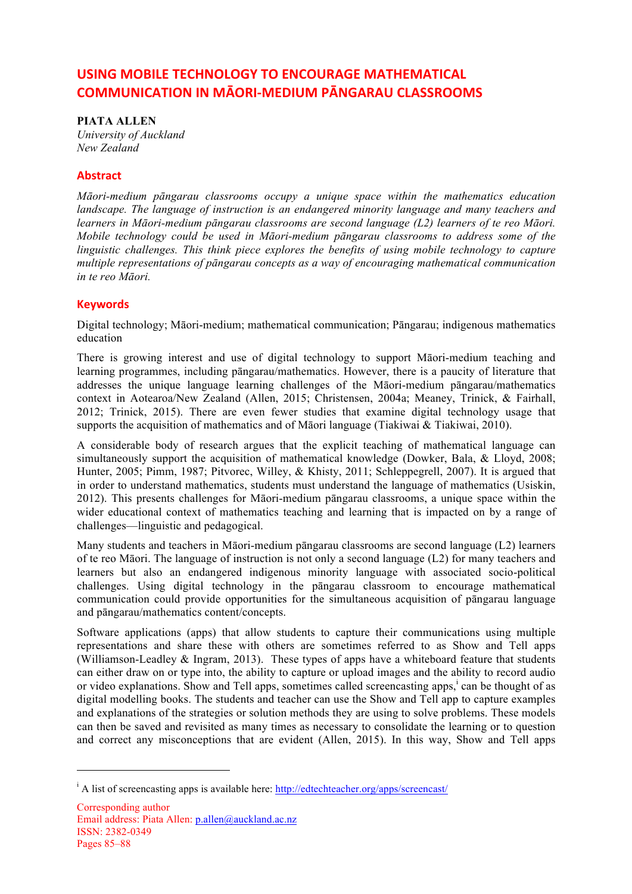## **USING MOBILE TECHNOLOGY TO ENCOURAGE MATHEMATICAL COMMUNICATION IN MÃORI-MEDIUM PÃNGARAU CLASSROOMS**

**PIATA ALLEN** *University of Auckland*

*New Zealand*

### **Abstract**

*Māori-medium pāngarau classrooms occupy a unique space within the mathematics education landscape. The language of instruction is an endangered minority language and many teachers and learners in Māori-medium pāngarau classrooms are second language (L2) learners of te reo Māori. Mobile technology could be used in Māori-medium pāngarau classrooms to address some of the linguistic challenges. This think piece explores the benefits of using mobile technology to capture multiple representations of pāngarau concepts as a way of encouraging mathematical communication in te reo Māori.* 

### **Keywords**

l

Digital technology; Māori-medium; mathematical communication; Pāngarau; indigenous mathematics education

There is growing interest and use of digital technology to support Māori-medium teaching and learning programmes, including pāngarau/mathematics. However, there is a paucity of literature that addresses the unique language learning challenges of the Māori-medium pāngarau/mathematics context in Aotearoa/New Zealand (Allen, 2015; Christensen, 2004a; Meaney, Trinick, & Fairhall, 2012; Trinick, 2015). There are even fewer studies that examine digital technology usage that supports the acquisition of mathematics and of Māori language (Tiakiwai  $\&$  Tiakiwai, 2010).

A considerable body of research argues that the explicit teaching of mathematical language can simultaneously support the acquisition of mathematical knowledge (Dowker, Bala, & Lloyd, 2008; Hunter, 2005; Pimm, 1987; Pitvorec, Willey, & Khisty, 2011; Schleppegrell, 2007). It is argued that in order to understand mathematics, students must understand the language of mathematics (Usiskin, 2012). This presents challenges for Māori-medium pāngarau classrooms, a unique space within the wider educational context of mathematics teaching and learning that is impacted on by a range of challenges—linguistic and pedagogical.

Many students and teachers in Māori-medium pāngarau classrooms are second language (L2) learners of te reo Māori. The language of instruction is not only a second language (L2) for many teachers and learners but also an endangered indigenous minority language with associated socio-political challenges. Using digital technology in the pāngarau classroom to encourage mathematical communication could provide opportunities for the simultaneous acquisition of pāngarau language and pāngarau/mathematics content/concepts.

Software applications (apps) that allow students to capture their communications using multiple representations and share these with others are sometimes referred to as Show and Tell apps (Williamson-Leadley & Ingram, 2013). These types of apps have a whiteboard feature that students can either draw on or type into, the ability to capture or upload images and the ability to record audio or video explanations. Show and Tell apps, sometimes called screencasting apps,<sup>i</sup> can be thought of as digital modelling books. The students and teacher can use the Show and Tell app to capture examples and explanations of the strategies or solution methods they are using to solve problems. These models can then be saved and revisited as many times as necessary to consolidate the learning or to question and correct any misconceptions that are evident (Allen, 2015). In this way, Show and Tell apps

<sup>&</sup>lt;sup>i</sup> A list of screencasting apps is available here: http://edtechteacher.org/apps/screencast/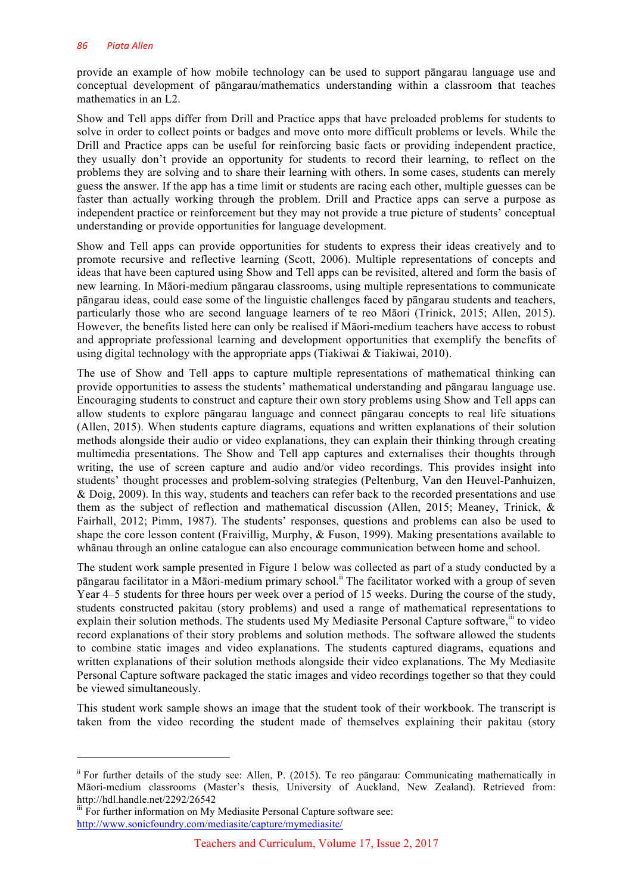provide an example of how mobile technology can be used to support pāngarau language use and conceptual development of pāngarau/mathematics understanding within a classroom that teaches mathematics in an L2.

Show and Tell apps differ from Drill and Practice apps that have preloaded problems for students to solve in order to collect points or badges and move onto more difficult problems or levels. While the Drill and Practice apps can be useful for reinforcing basic facts or providing independent practice, they usually don't provide an opportunity for students to record their learning, to reflect on the problems they are solving and to share their learning with others. In some cases, students can merely guess the answer. If the app has a time limit or students are racing each other, multiple guesses can be faster than actually working through the problem. Drill and Practice apps can serve a purpose as independent practice or reinforcement but they may not provide a true picture of students' conceptual understanding or provide opportunities for language development.

Show and Tell apps can provide opportunities for students to express their ideas creatively and to promote recursive and reflective learning (Scott, 2006). Multiple representations of concepts and ideas that have been captured using Show and Tell apps can be revisited, altered and form the basis of new learning. In Māori-medium pāngarau classrooms, using multiple representations to communicate pāngarau ideas, could ease some of the linguistic challenges faced by pāngarau students and teachers, particularly those who are second language learners of te reo Māori (Trinick, 2015; Allen, 2015). However, the benefits listed here can only be realised if Māori-medium teachers have access to robust and appropriate professional learning and development opportunities that exemplify the benefits of using digital technology with the appropriate apps (Tiakiwai & Tiakiwai, 2010).

The use of Show and Tell apps to capture multiple representations of mathematical thinking can provide opportunities to assess the students' mathematical understanding and pāngarau language use. Encouraging students to construct and capture their own story problems using Show and Tell apps can allow students to explore pāngarau language and connect pāngarau concepts to real life situations (Allen, 2015). When students capture diagrams, equations and written explanations of their solution methods alongside their audio or video explanations, they can explain their thinking through creating multimedia presentations. The Show and Tell app captures and externalises their thoughts through writing, the use of screen capture and audio and/or video recordings. This provides insight into students' thought processes and problem-solving strategies (Peltenburg, Van den Heuvel-Panhuizen, & Doig, 2009). In this way, students and teachers can refer back to the recorded presentations and use them as the subject of reflection and mathematical discussion (Allen, 2015; Meaney, Trinick, & Fairhall, 2012; Pimm, 1987). The students' responses, questions and problems can also be used to shape the core lesson content (Fraivillig, Murphy, & Fuson, 1999). Making presentations available to whānau through an online catalogue can also encourage communication between home and school.

The student work sample presented in Figure 1 below was collected as part of a study conducted by a pāngarau facilitator in a Māori-medium primary school.<sup>ii</sup> The facilitator worked with a group of seven Year 4–5 students for three hours per week over a period of 15 weeks. During the course of the study, students constructed pakitau (story problems) and used a range of mathematical representations to explain their solution methods. The students used My Mediasite Personal Capture software,<sup>iii</sup> to video record explanations of their story problems and solution methods. The software allowed the students to combine static images and video explanations. The students captured diagrams, equations and written explanations of their solution methods alongside their video explanations. The My Mediasite Personal Capture software packaged the static images and video recordings together so that they could be viewed simultaneously.

This student work sample shows an image that the student took of their workbook. The transcript is taken from the video recording the student made of themselves explaining their pakitau (story

l

ii For further details of the study see: Allen, P. (2015). Te reo pāngarau: Communicating mathematically in Māori-medium classrooms (Master's thesis, University of Auckland, New Zealand). Retrieved from: http://hdl.handle.net/2292/26542

iii For further information on My Mediasite Personal Capture software see: http://www.sonicfoundry.com/mediasite/capture/mymediasite/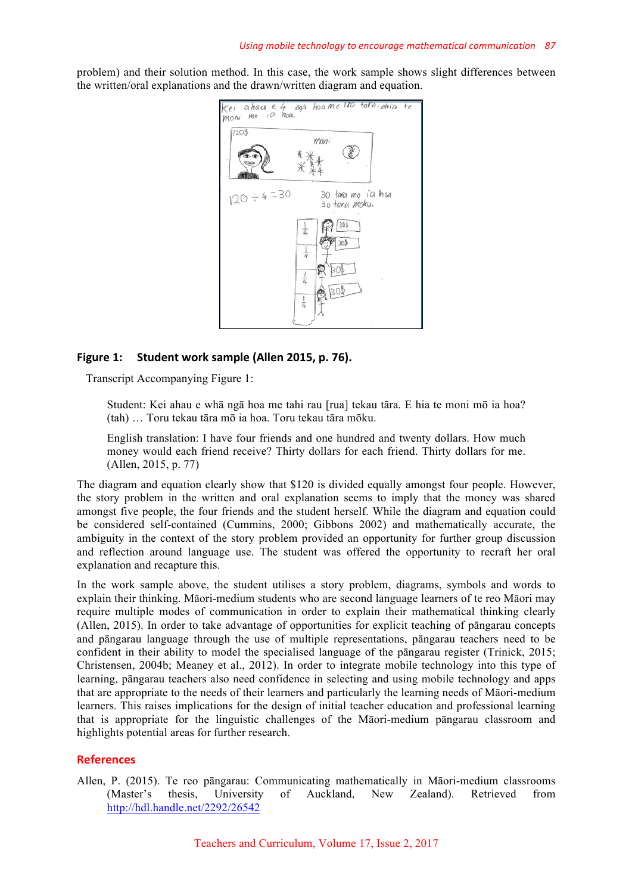problem) and their solution method. In this case, the work sample shows slight differences between the written/oral explanations and the drawn/written diagram and equation.



### **Figure 1:** Student work sample (Allen 2015, p. 76).

Transcript Accompanying Figure 1:

Student: Kei ahau e whā ngā hoa me tahi rau [rua] tekau tāra. E hia te moni mō ia hoa? (tah) … Toru tekau tāra mō ia hoa. Toru tekau tāra mōku.

English translation: I have four friends and one hundred and twenty dollars. How much money would each friend receive? Thirty dollars for each friend. Thirty dollars for me. (Allen, 2015, p. 77)

The diagram and equation clearly show that \$120 is divided equally amongst four people. However, the story problem in the written and oral explanation seems to imply that the money was shared amongst five people, the four friends and the student herself. While the diagram and equation could be considered self-contained (Cummins, 2000; Gibbons 2002) and mathematically accurate, the ambiguity in the context of the story problem provided an opportunity for further group discussion and reflection around language use. The student was offered the opportunity to recraft her oral explanation and recapture this.

In the work sample above, the student utilises a story problem, diagrams, symbols and words to explain their thinking. Māori-medium students who are second language learners of te reo Māori may require multiple modes of communication in order to explain their mathematical thinking clearly (Allen, 2015). In order to take advantage of opportunities for explicit teaching of pāngarau concepts and pāngarau language through the use of multiple representations, pāngarau teachers need to be confident in their ability to model the specialised language of the pāngarau register (Trinick, 2015; Christensen, 2004b; Meaney et al., 2012). In order to integrate mobile technology into this type of learning, pāngarau teachers also need confidence in selecting and using mobile technology and apps that are appropriate to the needs of their learners and particularly the learning needs of Māori-medium learners. This raises implications for the design of initial teacher education and professional learning that is appropriate for the linguistic challenges of the Māori-medium pāngarau classroom and highlights potential areas for further research.

### **References**

Allen, P. (2015). Te reo pāngarau: Communicating mathematically in Māori-medium classrooms (Master's thesis, University of Auckland, New Zealand). Retrieved from http://hdl.handle.net/2292/26542